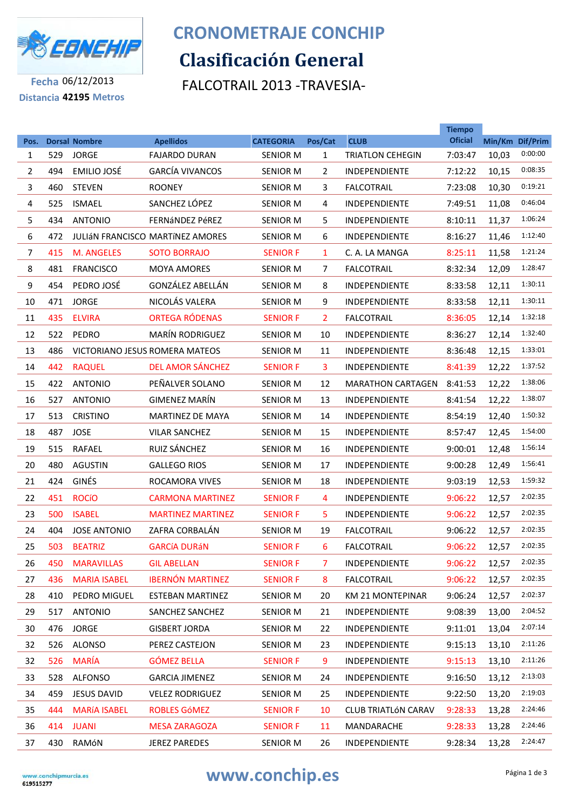

## **Clasificación General CRONOMETRAJE CONCHIP**

FALCOTRAIL 2013 -TRAVESIA-

**Fecha** 06/12/2013 **Distancia 42195 Metros**

|                |     |                                      |                                          |                                     |                         |                                        | <b>Tiempo</b><br><b>Oficial</b> |       |                            |
|----------------|-----|--------------------------------------|------------------------------------------|-------------------------------------|-------------------------|----------------------------------------|---------------------------------|-------|----------------------------|
| Pos.<br>1      | 529 | <b>Dorsal Nombre</b><br><b>JORGE</b> | <b>Apellidos</b><br><b>FAJARDO DURAN</b> | <b>CATEGORIA</b><br><b>SENIOR M</b> | Pos/Cat<br>$\mathbf{1}$ | <b>CLUB</b><br><b>TRIATLON CEHEGIN</b> | 7:03:47                         | 10,03 | Min/Km Dif/Prim<br>0:00:00 |
| $\overline{2}$ | 494 | EMILIO JOSÉ                          | <b>GARCÍA VIVANCOS</b>                   | <b>SENIOR M</b>                     | $\overline{2}$          | <b>INDEPENDIENTE</b>                   | 7:12:22                         | 10,15 | 0:08:35                    |
| 3              | 460 | <b>STEVEN</b>                        | <b>ROONEY</b>                            | <b>SENIOR M</b>                     | 3                       | <b>FALCOTRAIL</b>                      | 7:23:08                         | 10,30 | 0:19:21                    |
| 4              | 525 | <b>ISMAEL</b>                        | SANCHEZ LÓPEZ                            | <b>SENIOR M</b>                     | 4                       | <b>INDEPENDIENTE</b>                   | 7:49:51                         | 11,08 | 0:46:04                    |
| 5              | 434 | <b>ANTONIO</b>                       | <b>FERNÁNDEZ PÉREZ</b>                   | <b>SENIOR M</b>                     | 5                       | <b>INDEPENDIENTE</b>                   | 8:10:11                         | 11,37 | 1:06:24                    |
| 6              | 472 |                                      | <b>JULIÁN FRANCISCO MARTÍNEZ AMORES</b>  | <b>SENIOR M</b>                     | 6                       | <b>INDEPENDIENTE</b>                   | 8:16:27                         | 11,46 | 1:12:40                    |
| $\overline{7}$ | 415 | <b>M. ANGELES</b>                    | <b>SOTO BORRAJO</b>                      | <b>SENIOR F</b>                     | 1                       | C. A. LA MANGA                         | 8:25:11                         | 11,58 | 1:21:24                    |
| 8              | 481 | <b>FRANCISCO</b>                     | <b>MOYA AMORES</b>                       | <b>SENIOR M</b>                     | $\overline{7}$          | <b>FALCOTRAIL</b>                      | 8:32:34                         | 12,09 | 1:28:47                    |
| 9              | 454 | PEDRO JOSÉ                           | GONZÁLEZ ABELLÁN                         | <b>SENIOR M</b>                     | 8                       | INDEPENDIENTE                          | 8:33:58                         | 12,11 | 1:30:11                    |
| 10             | 471 | <b>JORGE</b>                         | NICOLÁS VALERA                           | <b>SENIOR M</b>                     | 9                       | <b>INDEPENDIENTE</b>                   | 8:33:58                         | 12,11 | 1:30:11                    |
| 11             | 435 | <b>ELVIRA</b>                        | <b>ORTEGA RÓDENAS</b>                    | <b>SENIOR F</b>                     | $\overline{2}$          | <b>FALCOTRAIL</b>                      | 8:36:05                         | 12,14 | 1:32:18                    |
| 12             | 522 | PEDRO                                | <b>MARÍN RODRIGUEZ</b>                   | <b>SENIOR M</b>                     | 10                      | INDEPENDIENTE                          | 8:36:27                         | 12,14 | 1:32:40                    |
| 13             | 486 |                                      | VICTORIANO JESUS ROMERA MATEOS           | <b>SENIOR M</b>                     | 11                      | <b>INDEPENDIENTE</b>                   | 8:36:48                         | 12,15 | 1:33:01                    |
| 14             | 442 | <b>RAQUEL</b>                        | <b>DEL AMOR SÁNCHEZ</b>                  | <b>SENIOR F</b>                     | 3                       | INDEPENDIENTE                          | 8:41:39                         | 12,22 | 1:37:52                    |
| 15             | 422 | <b>ANTONIO</b>                       | PEÑALVER SOLANO                          | <b>SENIOR M</b>                     | 12                      | <b>MARATHON CARTAGEN</b>               | 8:41:53                         | 12,22 | 1:38:06                    |
| 16             | 527 | <b>ANTONIO</b>                       | <b>GIMENEZ MARÍN</b>                     | <b>SENIOR M</b>                     | 13                      | <b>INDEPENDIENTE</b>                   | 8:41:54                         | 12,22 | 1:38:07                    |
| 17             | 513 | <b>CRISTINO</b>                      | <b>MARTINEZ DE MAYA</b>                  | <b>SENIOR M</b>                     | 14                      | <b>INDEPENDIENTE</b>                   | 8:54:19                         | 12,40 | 1:50:32                    |
| 18             | 487 | <b>JOSE</b>                          | <b>VILAR SANCHEZ</b>                     | <b>SENIOR M</b>                     | 15                      | <b>INDEPENDIENTE</b>                   | 8:57:47                         | 12,45 | 1:54:00                    |
| 19             | 515 | <b>RAFAEL</b>                        | RUIZ SÁNCHEZ                             | <b>SENIOR M</b>                     | 16                      | <b>INDEPENDIENTE</b>                   | 9:00:01                         | 12,48 | 1:56:14                    |
| 20             | 480 | <b>AGUSTIN</b>                       | <b>GALLEGO RIOS</b>                      | <b>SENIOR M</b>                     | 17                      | <b>INDEPENDIENTE</b>                   | 9:00:28                         | 12,49 | 1:56:41                    |
| 21             | 424 | <b>GINÉS</b>                         | ROCAMORA VIVES                           | <b>SENIOR M</b>                     | 18                      | INDEPENDIENTE                          | 9:03:19                         | 12,53 | 1:59:32                    |
| 22             | 451 | <b>ROCÍO</b>                         | <b>CARMONA MARTINEZ</b>                  | <b>SENIOR F</b>                     | 4                       | <b>INDEPENDIENTE</b>                   | 9:06:22                         | 12,57 | 2:02:35                    |
| 23             | 500 | <b>ISABEL</b>                        | <b>MARTINEZ MARTINEZ</b>                 | <b>SENIOR F</b>                     | 5.                      | <b>INDEPENDIENTE</b>                   | 9:06:22                         | 12,57 | 2:02:35                    |
| 24             | 404 | <b>JOSE ANTONIO</b>                  | ZAFRA CORBALÁN                           | <b>SENIOR M</b>                     | 19                      | <b>FALCOTRAIL</b>                      | 9:06:22                         | 12,57 | 2:02:35                    |
| 25             | 503 | <b>BEATRIZ</b>                       | <b>GARCÍA DURÁN</b>                      | <b>SENIOR F</b>                     | 6                       | <b>FALCOTRAIL</b>                      | 9:06:22                         | 12,57 | 2:02:35                    |
| 26             | 450 | <b>MARAVILLAS</b>                    | <b>GIL ABELLAN</b>                       | <b>SENIOR F</b>                     | 7.                      | INDEPENDIENTE                          | 9:06:22                         | 12,57 | 2:02:35                    |
| 27             | 436 | <b>MARIA ISABEL</b>                  | <b>IBERNÓN MARTINEZ</b>                  | <b>SENIOR F</b>                     | 8                       | <b>FALCOTRAIL</b>                      | 9:06:22                         | 12,57 | 2:02:35                    |
| 28             | 410 | PEDRO MIGUEL                         | <b>ESTEBAN MARTINEZ</b>                  | <b>SENIOR M</b>                     | 20                      | KM 21 MONTEPINAR                       | 9:06:24                         | 12,57 | 2:02:37                    |
| 29             | 517 | <b>ANTONIO</b>                       | SANCHEZ SANCHEZ                          | <b>SENIOR M</b>                     | 21                      | INDEPENDIENTE                          | 9:08:39                         | 13,00 | 2:04:52                    |
| 30             | 476 | <b>JORGE</b>                         | <b>GISBERT JORDA</b>                     | <b>SENIOR M</b>                     | 22                      | INDEPENDIENTE                          | 9:11:01                         | 13,04 | 2:07:14                    |
| 32             | 526 | <b>ALONSO</b>                        | PEREZ CASTEJON                           | <b>SENIOR M</b>                     | 23                      | INDEPENDIENTE                          | 9:15:13                         | 13,10 | 2:11:26                    |
| 32             | 526 | MARÍA                                | <b>GÓMEZ BELLA</b>                       | <b>SENIOR F</b>                     | 9                       | INDEPENDIENTE                          | 9:15:13                         | 13,10 | 2:11:26                    |
| 33             | 528 | <b>ALFONSO</b>                       | <b>GARCIA JIMENEZ</b>                    | <b>SENIOR M</b>                     | 24                      | INDEPENDIENTE                          | 9:16:50                         | 13,12 | 2:13:03                    |
| 34             | 459 | <b>JESUS DAVID</b>                   | <b>VELEZ RODRIGUEZ</b>                   | <b>SENIOR M</b>                     | 25                      | INDEPENDIENTE                          | 9:22:50                         | 13,20 | 2:19:03                    |
| 35             | 444 | <b>MARÍA ISABEL</b>                  | <b>ROBLES GÓMEZ</b>                      | <b>SENIOR F</b>                     | 10                      | <b>CLUB TRIATLÓN CARAV</b>             | 9:28:33                         | 13,28 | 2:24:46                    |
| 36             | 414 | <b>JUANI</b>                         | <b>MESA ZARAGOZA</b>                     | <b>SENIOR F</b>                     | 11                      | MANDARACHE                             | 9:28:33                         | 13,28 | 2:24:46                    |
| 37             | 430 | RAMÓN                                | <b>JEREZ PAREDES</b>                     | <b>SENIOR M</b>                     | 26                      | INDEPENDIENTE                          | 9:28:34                         | 13,28 | 2:24:47                    |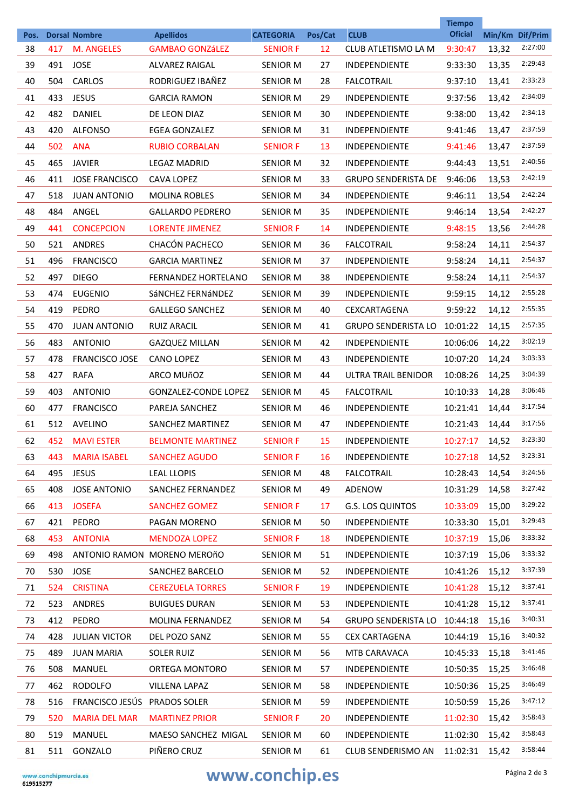|            |     |                                           |                                     | <b>CATEGORIA</b> |               | <b>CLUB</b>                | <b>Tiempo</b><br><b>Oficial</b> |       |                            |
|------------|-----|-------------------------------------------|-------------------------------------|------------------|---------------|----------------------------|---------------------------------|-------|----------------------------|
| Pos.<br>38 | 417 | <b>Dorsal Nombre</b><br><b>M. ANGELES</b> | <b>Apellidos</b><br>GAMBAO GONZáLEZ | <b>SENIOR F</b>  | Pos/Cat<br>12 | CLUB ATLETISMO LA M        | 9:30:47                         | 13,32 | Min/Km Dif/Prim<br>2:27:00 |
| 39         | 491 | <b>JOSE</b>                               | <b>ALVAREZ RAIGAL</b>               | <b>SENIOR M</b>  | 27            | <b>INDEPENDIENTE</b>       | 9:33:30                         | 13,35 | 2:29:43                    |
| 40         | 504 | CARLOS                                    | RODRIGUEZ IBAÑEZ                    | <b>SENIOR M</b>  | 28            | <b>FALCOTRAIL</b>          | 9:37:10                         | 13,41 | 2:33:23                    |
| 41         | 433 | <b>JESUS</b>                              | <b>GARCIA RAMON</b>                 | <b>SENIOR M</b>  | 29            | <b>INDEPENDIENTE</b>       | 9:37:56                         | 13,42 | 2:34:09                    |
| 42         | 482 | DANIEL                                    | DE LEON DIAZ                        | <b>SENIOR M</b>  | 30            | <b>INDEPENDIENTE</b>       | 9:38:00                         | 13,42 | 2:34:13                    |
| 43         | 420 | <b>ALFONSO</b>                            | <b>EGEA GONZALEZ</b>                | <b>SENIOR M</b>  | 31            | <b>INDEPENDIENTE</b>       | 9:41:46                         | 13,47 | 2:37:59                    |
| 44         | 502 | <b>ANA</b>                                | <b>RUBIO CORBALAN</b>               | <b>SENIOR F</b>  | 13            | <b>INDEPENDIENTE</b>       | 9:41:46                         | 13,47 | 2:37:59                    |
| 45         | 465 | <b>JAVIER</b>                             | <b>LEGAZ MADRID</b>                 | <b>SENIOR M</b>  | 32            | <b>INDEPENDIENTE</b>       | 9:44:43                         | 13,51 | 2:40:56                    |
| 46         | 411 | <b>JOSE FRANCISCO</b>                     | <b>CAVA LOPEZ</b>                   | <b>SENIOR M</b>  | 33            | <b>GRUPO SENDERISTA DE</b> | 9:46:06                         | 13,53 | 2:42:19                    |
| 47         | 518 | <b>JUAN ANTONIO</b>                       | <b>MOLINA ROBLES</b>                | <b>SENIOR M</b>  | 34            | <b>INDEPENDIENTE</b>       | 9:46:11                         | 13,54 | 2:42:24                    |
| 48         | 484 | ANGEL                                     | <b>GALLARDO PEDRERO</b>             | <b>SENIOR M</b>  | 35            | <b>INDEPENDIENTE</b>       | 9:46:14                         | 13,54 | 2:42:27                    |
| 49         | 441 | <b>CONCEPCION</b>                         | <b>LORENTE JIMENEZ</b>              | <b>SENIOR F</b>  | 14            | <b>INDEPENDIENTE</b>       | 9:48:15                         | 13,56 | 2:44:28                    |
| 50         | 521 | <b>ANDRES</b>                             | CHACÓN PACHECO                      | <b>SENIOR M</b>  | 36            | <b>FALCOTRAIL</b>          | 9:58:24                         | 14,11 | 2:54:37                    |
| 51         | 496 | <b>FRANCISCO</b>                          | <b>GARCIA MARTINEZ</b>              | <b>SENIOR M</b>  | 37            | <b>INDEPENDIENTE</b>       | 9:58:24                         | 14,11 | 2:54:37                    |
| 52         | 497 | <b>DIEGO</b>                              | <b>FERNANDEZ HORTELANO</b>          | <b>SENIOR M</b>  | 38            | <b>INDEPENDIENTE</b>       | 9:58:24                         | 14,11 | 2:54:37                    |
| 53         | 474 | <b>EUGENIO</b>                            | SÁNCHEZ FERNÁNDEZ                   | <b>SENIOR M</b>  | 39            | <b>INDEPENDIENTE</b>       | 9:59:15                         | 14,12 | 2:55:28                    |
| 54         | 419 | PEDRO                                     | <b>GALLEGO SANCHEZ</b>              | <b>SENIOR M</b>  | 40            | <b>CEXCARTAGENA</b>        | 9:59:22                         | 14,12 | 2:55:35                    |
| 55         | 470 | <b>JUAN ANTONIO</b>                       | <b>RUIZ ARACIL</b>                  | <b>SENIOR M</b>  | 41            | <b>GRUPO SENDERISTA LO</b> | 10:01:22                        | 14,15 | 2:57:35                    |
| 56         | 483 | <b>ANTONIO</b>                            | <b>GAZQUEZ MILLAN</b>               | <b>SENIOR M</b>  | 42            | <b>INDEPENDIENTE</b>       | 10:06:06                        | 14,22 | 3:02:19                    |
| 57         | 478 | <b>FRANCISCO JOSE</b>                     | <b>CANO LOPEZ</b>                   | <b>SENIOR M</b>  | 43            | <b>INDEPENDIENTE</b>       | 10:07:20                        | 14,24 | 3:03:33                    |
| 58         | 427 | <b>RAFA</b>                               | ARCO MUñOZ                          | <b>SENIOR M</b>  | 44            | ULTRA TRAIL BENIDOR        | 10:08:26                        | 14,25 | 3:04:39                    |
| 59         | 403 | <b>ANTONIO</b>                            | <b>GONZALEZ-CONDE LOPEZ</b>         | <b>SENIOR M</b>  | 45            | <b>FALCOTRAIL</b>          | 10:10:33                        | 14,28 | 3:06:46                    |
| 60         | 477 | <b>FRANCISCO</b>                          | PAREJA SANCHEZ                      | <b>SENIOR M</b>  | 46            | <b>INDEPENDIENTE</b>       | 10:21:41                        | 14,44 | 3:17:54                    |
| 61         | 512 | AVELINO                                   | SANCHEZ MARTINEZ                    | <b>SENIOR M</b>  | 47            | <b>INDEPENDIENTE</b>       | 10:21:43                        | 14,44 | 3:17:56                    |
| 62         | 452 | <b>MAVI ESTER</b>                         | <b>BELMONTE MARTINEZ</b>            | <b>SENIOR F</b>  | 15            | <b>INDEPENDIENTE</b>       | 10:27:17                        | 14,52 | 3:23:30                    |
| 63         | 443 | <b>MARIA ISABEL</b>                       | <b>SANCHEZ AGUDO</b>                | <b>SENIOR F</b>  | 16            | INDEPENDIENTE              | 10:27:18                        | 14,52 | 3:23:31                    |
| 64         | 495 | <b>JESUS</b>                              | <b>LEAL LLOPIS</b>                  | SENIOR M         | 48            | <b>FALCOTRAIL</b>          | 10:28:43                        | 14,54 | 3:24:56                    |
| 65         | 408 | <b>JOSE ANTONIO</b>                       | SANCHEZ FERNANDEZ                   | <b>SENIOR M</b>  | 49            | ADENOW                     | 10:31:29                        | 14,58 | 3:27:42                    |
| 66         | 413 | <b>JOSEFA</b>                             | <b>SANCHEZ GOMEZ</b>                | <b>SENIOR F</b>  | 17            | <b>G.S. LOS QUINTOS</b>    | 10:33:09                        | 15,00 | 3:29:22                    |
| 67         | 421 | PEDRO                                     | PAGAN MORENO                        | <b>SENIOR M</b>  | 50            | INDEPENDIENTE              | 10:33:30                        | 15,01 | 3:29:43                    |
| 68         | 453 | <b>ANTONIA</b>                            | <b>MENDOZA LOPEZ</b>                | <b>SENIOR F</b>  | 18            | INDEPENDIENTE              | 10:37:19                        | 15,06 | 3:33:32                    |
| 69         | 498 |                                           | ANTONIO RAMON MORENO MEROñO         | <b>SENIOR M</b>  | 51            | INDEPENDIENTE              | 10:37:19                        | 15,06 | 3:33:32                    |
| 70         | 530 | <b>JOSE</b>                               | SANCHEZ BARCELO                     | SENIOR M         | 52            | INDEPENDIENTE              | 10:41:26                        | 15,12 | 3:37:39                    |
| 71         | 524 | <b>CRISTINA</b>                           | <b>CEREZUELA TORRES</b>             | <b>SENIOR F</b>  | 19            | INDEPENDIENTE              | 10:41:28                        | 15,12 | 3:37:41                    |
| 72         | 523 | ANDRES                                    | <b>BUIGUES DURAN</b>                | <b>SENIOR M</b>  | 53            | INDEPENDIENTE              | 10:41:28                        | 15,12 | 3:37:41                    |
| 73         | 412 | PEDRO                                     | <b>MOLINA FERNANDEZ</b>             | SENIOR M         | 54            | <b>GRUPO SENDERISTA LO</b> | 10:44:18                        | 15,16 | 3:40:31                    |
| 74         | 428 | <b>JULIAN VICTOR</b>                      | DEL POZO SANZ                       | <b>SENIOR M</b>  | 55            | <b>CEX CARTAGENA</b>       | 10:44:19                        | 15,16 | 3:40:32                    |
| 75         | 489 | <b>JUAN MARIA</b>                         | <b>SOLER RUIZ</b>                   | <b>SENIOR M</b>  | 56            | MTB CARAVACA               | 10:45:33                        | 15,18 | 3:41:46                    |
| 76         | 508 | MANUEL                                    | ORTEGA MONTORO                      | SENIOR M         | 57            | INDEPENDIENTE              | 10:50:35                        | 15,25 | 3:46:48                    |
| 77         | 462 | <b>RODOLFO</b>                            | <b>VILLENA LAPAZ</b>                | SENIOR M         | 58            | INDEPENDIENTE              | 10:50:36                        | 15,25 | 3:46:49                    |
| 78         | 516 | FRANCISCO JESÚS                           | PRADOS SOLER                        | <b>SENIOR M</b>  | 59            | INDEPENDIENTE              | 10:50:59                        | 15,26 | 3:47:12                    |
| 79         | 520 | <b>MARIA DEL MAR</b>                      | <b>MARTINEZ PRIOR</b>               | <b>SENIOR F</b>  | 20            | INDEPENDIENTE              | 11:02:30                        | 15,42 | 3:58:43                    |
| 80         | 519 | MANUEL                                    | MAESO SANCHEZ MIGAL                 | <b>SENIOR M</b>  | 60            | INDEPENDIENTE              | 11:02:30                        | 15,42 | 3:58:43                    |
| 81         | 511 | GONZALO                                   | PIÑERO CRUZ                         | <b>SENIOR M</b>  | 61            | CLUB SENDERISMO AN         | 11:02:31                        | 15,42 | 3:58:44                    |

## www.conchip.es **Página 2 de 3**